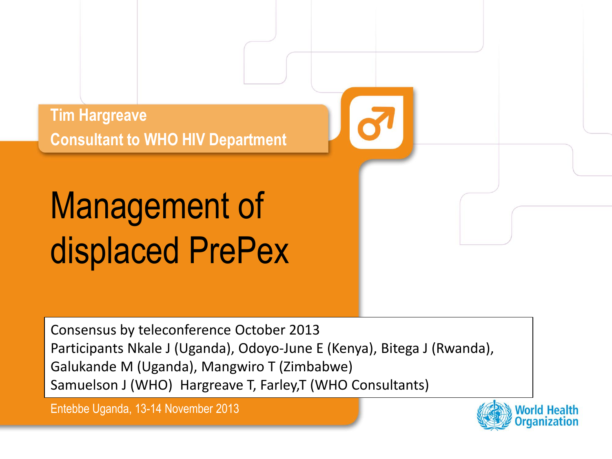**Tim Hargreave Consultant to WHO HIV Department**

# Management of displaced PrePex

Consensus by teleconference October 2013 Participants Nkale J (Uganda), Odoyo-June E (Kenya), Bitega J (Rwanda), Galukande M (Uganda), Mangwiro T (Zimbabwe) Samuelson J (WHO) Hargreave T, Farley,T (WHO Consultants)

Entebbe Uganda, 13-14 November 2013

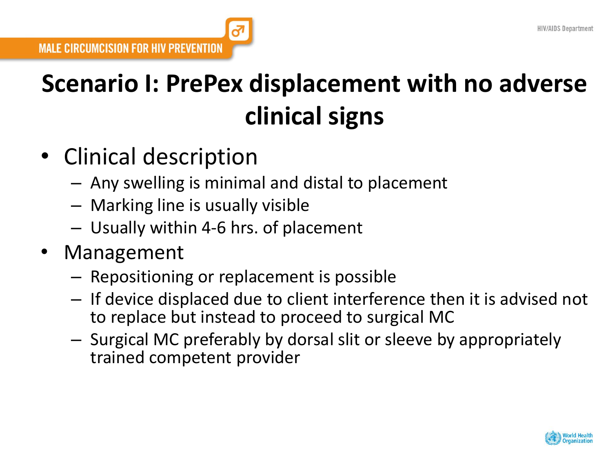## **Scenario I: PrePex displacement with no adverse clinical signs**

- Clinical description
	- Any swelling is minimal and distal to placement
	- Marking line is usually visible
	- Usually within 4-6 hrs. of placement
- **Management** 
	- Repositioning or replacement is possible
	- If device displaced due to client interference then it is advised not to replace but instead to proceed to surgical MC
	- Surgical MC preferably by dorsal slit or sleeve by appropriately trained competent provider

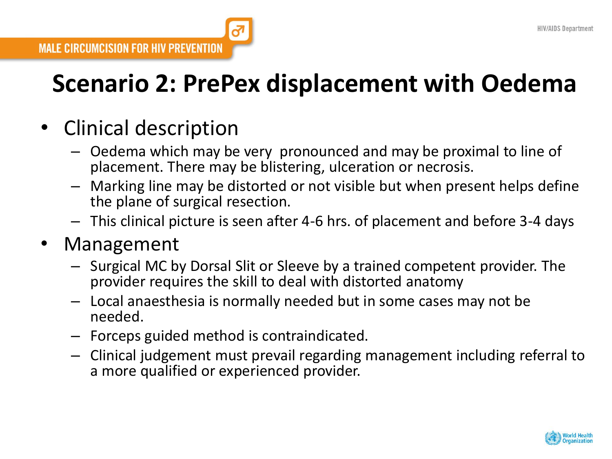## **Scenario 2: PrePex displacement with Oedema**

### • Clinical description

- Oedema which may be very pronounced and may be proximal to line of placement. There may be blistering, ulceration or necrosis.
- Marking line may be distorted or not visible but when present helps define the plane of surgical resection.
- This clinical picture is seen after 4-6 hrs. of placement and before 3-4 days

#### **Management**

- Surgical MC by Dorsal Slit or Sleeve by a trained competent provider. The provider requires the skill to deal with distorted anatomy
- Local anaesthesia is normally needed but in some cases may not be needed.
- Forceps guided method is contraindicated.
- Clinical judgement must prevail regarding management including referral to a more qualified or experienced provider.